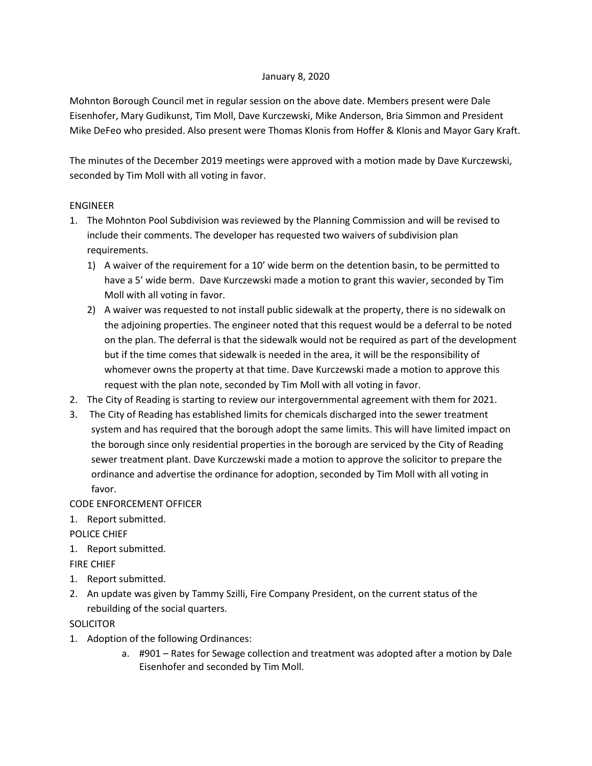## January 8, 2020

Mohnton Borough Council met in regular session on the above date. Members present were Dale Eisenhofer, Mary Gudikunst, Tim Moll, Dave Kurczewski, Mike Anderson, Bria Simmon and President Mike DeFeo who presided. Also present were Thomas Klonis from Hoffer & Klonis and Mayor Gary Kraft.

The minutes of the December 2019 meetings were approved with a motion made by Dave Kurczewski, seconded by Tim Moll with all voting in favor.

# ENGINEER

- 1. The Mohnton Pool Subdivision was reviewed by the Planning Commission and will be revised to include their comments. The developer has requested two waivers of subdivision plan requirements.
	- 1) A waiver of the requirement for a 10' wide berm on the detention basin, to be permitted to have a 5' wide berm. Dave Kurczewski made a motion to grant this wavier, seconded by Tim Moll with all voting in favor.
	- 2) A waiver was requested to not install public sidewalk at the property, there is no sidewalk on the adjoining properties. The engineer noted that this request would be a deferral to be noted on the plan. The deferral is that the sidewalk would not be required as part of the development but if the time comes that sidewalk is needed in the area, it will be the responsibility of whomever owns the property at that time. Dave Kurczewski made a motion to approve this request with the plan note, seconded by Tim Moll with all voting in favor.
- 2. The City of Reading is starting to review our intergovernmental agreement with them for 2021.
- 3. The City of Reading has established limits for chemicals discharged into the sewer treatment system and has required that the borough adopt the same limits. This will have limited impact on the borough since only residential properties in the borough are serviced by the City of Reading sewer treatment plant. Dave Kurczewski made a motion to approve the solicitor to prepare the ordinance and advertise the ordinance for adoption, seconded by Tim Moll with all voting in favor.

CODE ENFORCEMENT OFFICER

1. Report submitted.

POLICE CHIEF

1. Report submitted.

FIRE CHIEF

- 1. Report submitted.
- 2. An update was given by Tammy Szilli, Fire Company President, on the current status of the rebuilding of the social quarters.

**SOLICITOR** 

- 1. Adoption of the following Ordinances:
	- a. #901 Rates for Sewage collection and treatment was adopted after a motion by Dale Eisenhofer and seconded by Tim Moll.